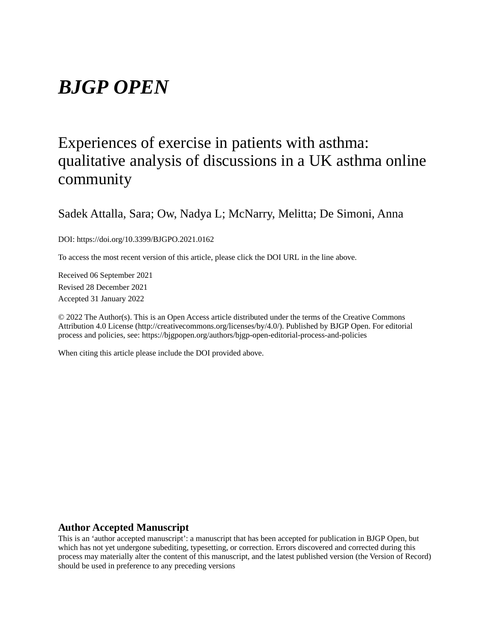# *BJGP OPEN*

# Experiences of exercise in patients with asthma: qualitative analysis of discussions in a UK asthma online community

Sadek Attalla, Sara; Ow, Nadya L; McNarry, Melitta; De Simoni, Anna

DOI: https://doi.org/10.3399/BJGPO.2021.0162

To access the most recent version of this article, please click the DOI URL in the line above.

Received 06 September 2021 Revised 28 December 2021 Accepted 31 January 2022

© 2022 The Author(s). This is an Open Access article distributed under the terms of the Creative Commons Attribution 4.0 License (http://creativecommons.org/licenses/by/4.0/). Published by BJGP Open. For editorial process and policies, see: https://bjgpopen.org/authors/bjgp-open-editorial-process-and-policies

When citing this article please include the DOI provided above.

#### **Author Accepted Manuscript**

This is an 'author accepted manuscript': a manuscript that has been accepted for publication in BJGP Open, but which has not yet undergone subediting, typesetting, or correction. Errors discovered and corrected during this process may materially alter the content of this manuscript, and the latest published version (the Version of Record) should be used in preference to any preceding versions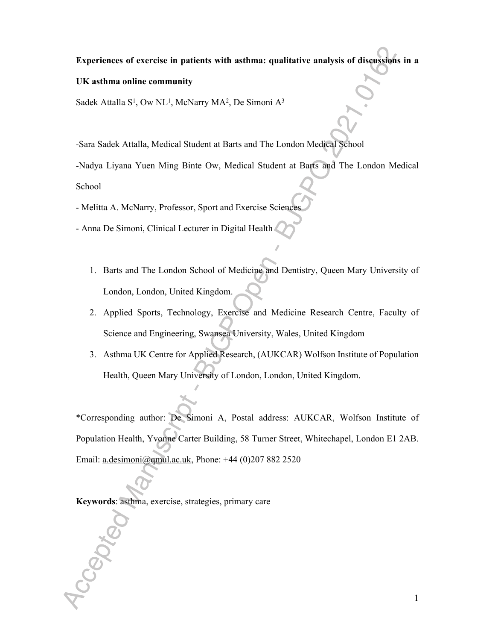#### **Experiences of exercise in patients with asthma: qualitative analysis of discussions in a**

#### **UK asthma online community**

Sadek Attalla S<sup>1</sup>, Ow NL<sup>1</sup>, McNarry MA<sup>2</sup>, De Simoni A<sup>3</sup>

-Sara Sadek Attalla, Medical Student at Barts and The London Medical School

-Nadya Liyana Yuen Ming Binte Ow, Medical Student at Barts and The London Medical School

- Melitta A. McNarry, Professor, Sport and Exercise Sciences

- Anna De Simoni, Clinical Lecturer in Digital Health
	- 1. Barts and The London School of Medicine and Dentistry, Queen Mary University of London, London, United Kingdom.
	- 2. Applied Sports, Technology, Exercise and Medicine Research Centre, Faculty of Science and Engineering, Swansea University, Wales, United Kingdom
	- 3. Asthma UK Centre for Applied Research, (AUKCAR) Wolfson Institute of Population Health, Queen Mary University of London, London, United Kingdom.

\*Corresponding author: De Simoni A, Postal address: AUKCAR, Wolfson Institute of Population Health, Yvonne Carter Building, 58 Turner Street, Whitechapel, London E1 2AB. Email: a.desimoni@qmul.ac.uk, Phone: +44 (0)207 882 2520

**Keywords**: asthma, exercise, strategies, primary care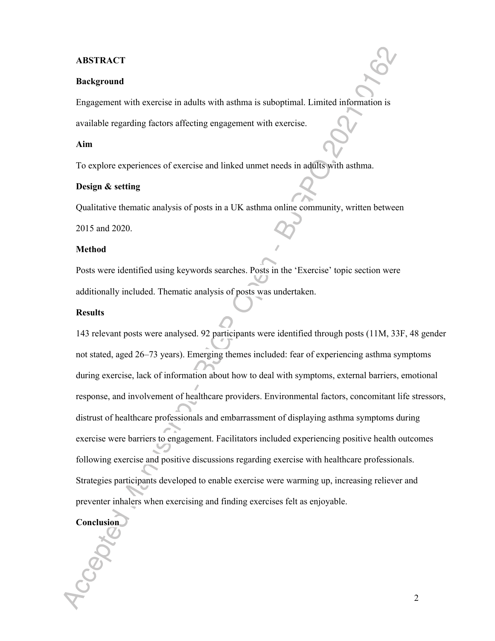#### **ABSTRACT**

#### **Background**

Engagement with exercise in adults with asthma is suboptimal. Limited information is available regarding factors affecting engagement with exercise.

#### **Aim**

To explore experiences of exercise and linked unmet needs in adults with asthma.

## **Design & setting**

Qualitative thematic analysis of posts in a UK asthma online community, written between

2015 and 2020.

#### **Method**

Posts were identified using keywords searches. Posts in the 'Exercise' topic section were additionally included. Thematic analysis of posts was undertaken.

#### **Results**

143 relevant posts were analysed. 92 participants were identified through posts (11M, 33F, 48 gender not stated, aged 26–73 years). Emerging themes included: fear of experiencing asthma symptoms during exercise, lack of information about how to deal with symptoms, external barriers, emotional response, and involvement of healthcare providers. Environmental factors, concomitant life stressors, distrust of healthcare professionals and embarrassment of displaying asthma symptoms during exercise were barriers to engagement. Facilitators included experiencing positive health outcomes following exercise and positive discussions regarding exercise with healthcare professionals. Strategies participants developed to enable exercise were warming up, increasing reliever and preventer inhalers when exercising and finding exercises felt as enjoyable.

# **Conclusion**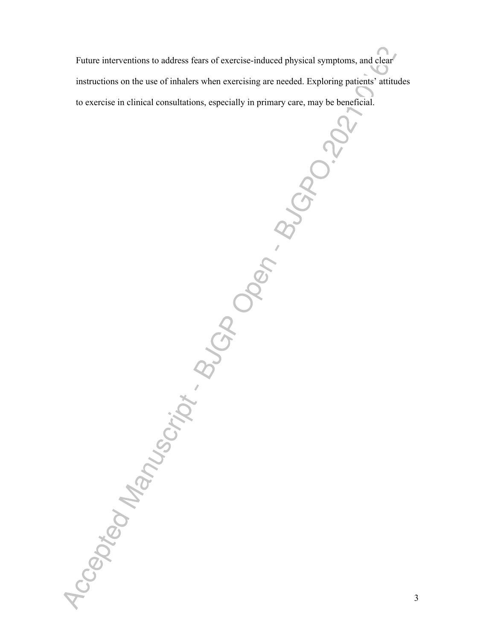Future interventions to address fears of exercise-induced physical symptoms, and clear instructions on the use of inhalers when exercising are needed. Exploring patients' attitudes to exercise in clinical consultations, especially in primary care, may be beneficial.<br>  $\frac{1}{2}$ <br>  $\frac{1}{2}$ <br>  $\frac{1}{2}$ <br>  $\frac{1}{2}$ <br>  $\frac{1}{2}$ <br>  $\frac{1}{2}$ <br>  $\frac{1}{2}$ <br>  $\frac{1}{2}$ <br>  $\frac{1}{2}$ <br>  $\frac{1}{2}$ <br>  $\frac{1}{2}$ <br>  $\frac{1}{2}$ <br>  $\$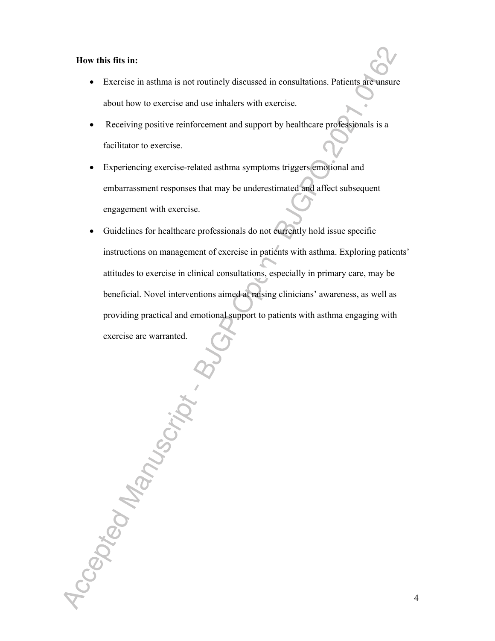#### **How this fits in:**

Accepted Manuscript.

- Exercise in asthma is not routinely discussed in consultations. Patients are unsure about how to exercise and use inhalers with exercise.
- Receiving positive reinforcement and support by healthcare professionals is a facilitator to exercise.
- Experiencing exercise-related asthma symptoms triggers emotional and embarrassment responses that may be underestimated and affect subsequent engagement with exercise.
- Guidelines for healthcare professionals do not currently hold issue specific instructions on management of exercise in patients with asthma. Exploring patients' attitudes to exercise in clinical consultations, especially in primary care, may be beneficial. Novel interventions aimed at raising clinicians' awareness, as well as providing practical and emotional support to patients with asthma engaging with exercise are warranted.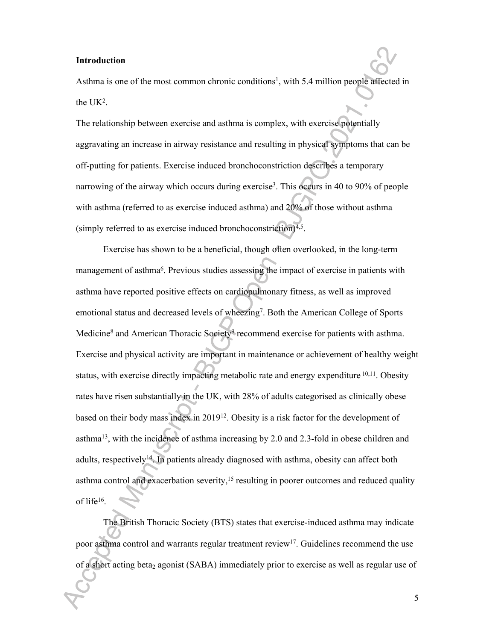#### **Introduction**

Asthma is one of the most common chronic conditions<sup>1</sup>, with 5.4 million people affected in the  $UK<sup>2</sup>$ .

The relationship between exercise and asthma is complex, with exercise potentially aggravating an increase in airway resistance and resulting in physical symptoms that can be off-putting for patients. Exercise induced bronchoconstriction describes a temporary narrowing of the airway which occurs during exercise<sup>3</sup>. This occurs in 40 to 90% of people with asthma (referred to as exercise induced asthma) and 20% of those without asthma (simply referred to as exercise induced bronchoconstriction) $4.5$ .

Exercise has shown to be a beneficial, though often overlooked, in the long-term management of asthma<sup>6</sup>. Previous studies assessing the impact of exercise in patients with asthma have reported positive effects on cardiopulmonary fitness, as well as improved emotional status and decreased levels of wheezing<sup>7</sup>. Both the American College of Sports Medicine<sup>8</sup> and American Thoracic Society<sup>9</sup> recommend exercise for patients with asthma. Exercise and physical activity are important in maintenance or achievement of healthy weight status, with exercise directly impacting metabolic rate and energy expenditure <sup>10,11</sup>. Obesity rates have risen substantially in the UK, with 28% of adults categorised as clinically obese based on their body mass index in 2019<sup>12</sup>. Obesity is a risk factor for the development of asthma<sup>13</sup>, with the incidence of asthma increasing by 2.0 and 2.3-fold in obese children and adults, respectively<sup>14</sup>. In patients already diagnosed with asthma, obesity can affect both asthma control and exacerbation severity,<sup>15</sup> resulting in poorer outcomes and reduced quality of life<sup>16</sup> .

The British Thoracic Society (BTS) states that exercise-induced asthma may indicate poor asthma control and warrants regular treatment review<sup>17</sup>. Guidelines recommend the use of a short acting beta<sub>2</sub> agonist (SABA) immediately prior to exercise as well as regular use of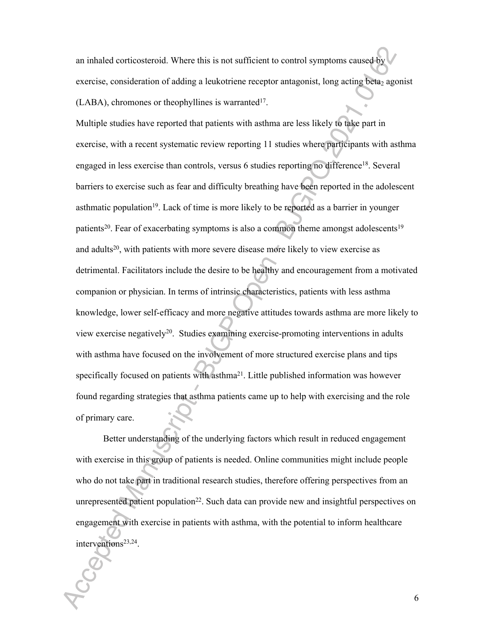an inhaled corticosteroid. Where this is not sufficient to control symptoms caused by exercise, consideration of adding a leukotriene receptor antagonist, long acting beta<sub>2</sub> agonist  $(LABA)$ , chromones or theophyllines is warranted<sup>17</sup>.

Multiple studies have reported that patients with asthma are less likely to take part in exercise, with a recent systematic review reporting 11 studies where participants with asthma engaged in less exercise than controls, versus 6 studies reporting no difference<sup>18</sup>. Several barriers to exercise such as fear and difficulty breathing have been reported in the adolescent asthmatic population<sup>19</sup>. Lack of time is more likely to be reported as a barrier in younger patients<sup>20</sup>. Fear of exacerbating symptoms is also a common theme amongst adolescents<sup>19</sup> and adults<sup>20</sup>, with patients with more severe disease more likely to view exercise as detrimental. Facilitators include the desire to be healthy and encouragement from a motivated companion or physician. In terms of intrinsic characteristics, patients with less asthma knowledge, lower self-efficacy and more negative attitudes towards asthma are more likely to view exercise negatively<sup>20</sup>. Studies examining exercise-promoting interventions in adults with asthma have focused on the involvement of more structured exercise plans and tips specifically focused on patients with asthma $2<sup>1</sup>$ . Little published information was however found regarding strategies that asthma patients came up to help with exercising and the role of primary care.

Better understanding of the underlying factors which result in reduced engagement with exercise in this group of patients is needed. Online communities might include people who do not take part in traditional research studies, therefore offering perspectives from an unrepresented patient population<sup>22</sup>. Such data can provide new and insightful perspectives on engagement with exercise in patients with asthma, with the potential to inform healthcare interventions<sup>23,24</sup>.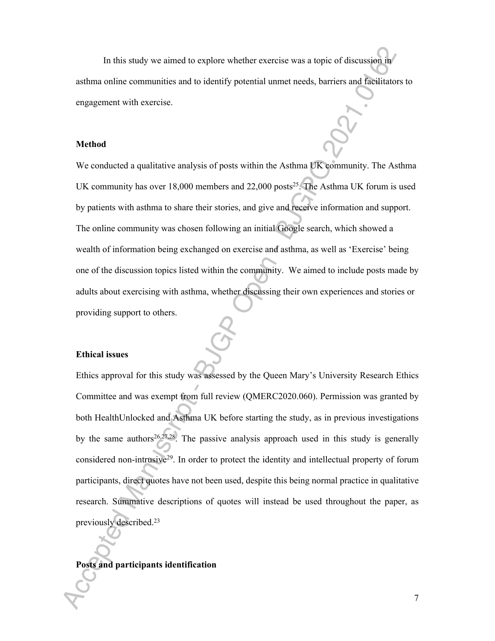In this study we aimed to explore whether exercise was a topic of discussion in asthma online communities and to identify potential unmet needs, barriers and facilitators to engagement with exercise.

#### **Method**

We conducted a qualitative analysis of posts within the Asthma UK community. The Asthma UK community has over  $18,000$  members and  $22,000$  posts<sup>25</sup>. The Asthma UK forum is used by patients with asthma to share their stories, and give and receive information and support. The online community was chosen following an initial Google search, which showed a wealth of information being exchanged on exercise and asthma, as well as 'Exercise' being one of the discussion topics listed within the community. We aimed to include posts made by adults about exercising with asthma, whether discussing their own experiences and stories or providing support to others.

#### **Ethical issues**

Ethics approval for this study was assessed by the Queen Mary's University Research Ethics Committee and was exempt from full review (QMERC2020.060). Permission was granted by both HealthUnlocked and Asthma UK before starting the study, as in previous investigations by the same authors<sup>26,27,28</sup>. The passive analysis approach used in this study is generally considered non-intrusive<sup>29</sup>. In order to protect the identity and intellectual property of forum participants, direct quotes have not been used, despite this being normal practice in qualitative research. Summative descriptions of quotes will instead be used throughout the paper, as previously described.<sup>23</sup>

#### **Posts and participants identification**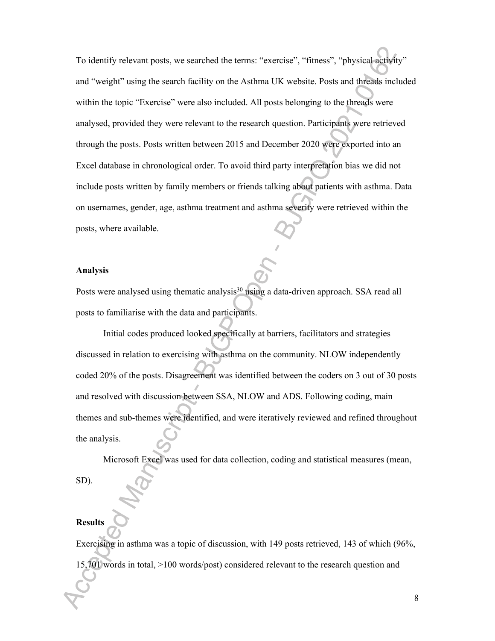To identify relevant posts, we searched the terms: "exercise", "fitness", "physical activity" and "weight" using the search facility on the Asthma UK website. Posts and threads included within the topic "Exercise" were also included. All posts belonging to the threads were analysed, provided they were relevant to the research question. Participants were retrieved through the posts. Posts written between 2015 and December 2020 were exported into an Excel database in chronological order. To avoid third party interpretation bias we did not include posts written by family members or friends talking about patients with asthma. Data on usernames, gender, age, asthma treatment and asthma severity were retrieved within the posts, where available.

#### **Analysis**

Posts were analysed using thematic analysis<sup>30</sup> using a data-driven approach. SSA read all posts to familiarise with the data and participants.

Initial codes produced looked specifically at barriers, facilitators and strategies discussed in relation to exercising with asthma on the community. NLOW independently coded 20% of the posts. Disagreement was identified between the coders on 3 out of 30 posts and resolved with discussion between SSA, NLOW and ADS. Following coding, main themes and sub-themes were identified, and were iteratively reviewed and refined throughout the analysis.

Microsoft Excel was used for data collection, coding and statistical measures (mean,

SD).

# **Results**

Exercising in asthma was a topic of discussion, with 149 posts retrieved, 143 of which (96%, 15,701 words in total, >100 words/post) considered relevant to the research question and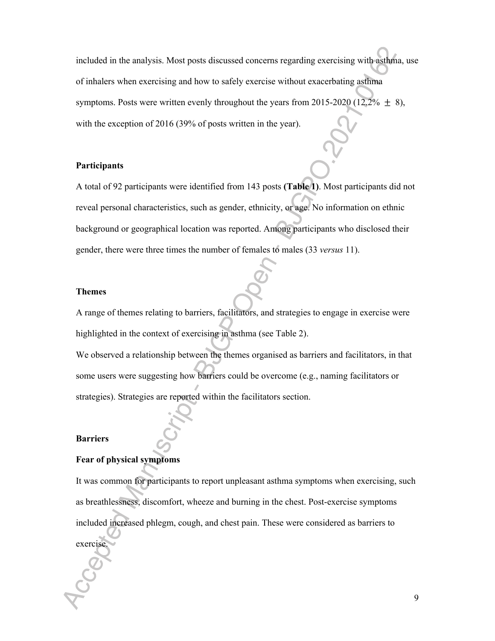included in the analysis. Most posts discussed concerns regarding exercising with asthma, use of inhalers when exercising and how to safely exercise without exacerbating asthma symptoms. Posts were written evenly throughout the years from 2015-2020 (12.2%  $\pm$  8), with the exception of 2016 (39% of posts written in the year).

#### **Participants**

A total of 92 participants were identified from 143 posts **(Table 1)**. Most participants did not reveal personal characteristics, such as gender, ethnicity, or age. No information on ethnic background or geographical location was reported. Among participants who disclosed their gender, there were three times the number of females to males (33 *versus* 11).

#### **Themes**

A range of themes relating to barriers, facilitators, and strategies to engage in exercise were highlighted in the context of exercising in asthma (see Table 2). We observed a relationship between the themes organised as barriers and facilitators, in that some users were suggesting how barriers could be overcome (e.g., naming facilitators or strategies). Strategies are reported within the facilitators section.

#### **Barriers**

#### **Fear of physical symptoms**

It was common for participants to report unpleasant asthma symptoms when exercising, such as breathlessness, discomfort, wheeze and burning in the chest. Post-exercise symptoms included increased phlegm, cough, and chest pain. These were considered as barriers to exercise.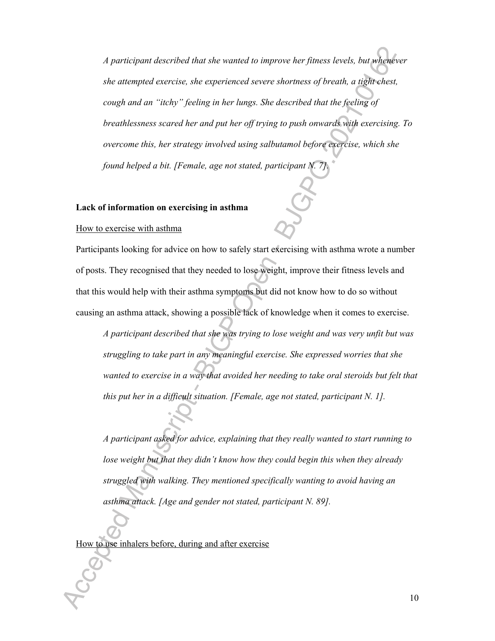*A participant described that she wanted to improve her fitness levels, but whenever she attempted exercise, she experienced severe shortness of breath, a tight chest, cough and an "itchy" feeling in her lungs. She described that the feeling of breathlessness scared her and put her off trying to push onwards with exercising. To overcome this, her strategy involved using salbutamol before exercise, which she found helped a bit. [Female, age not stated, participant N. 7].*

#### **Lack of information on exercising in asthma**

#### How to exercise with asthma

Participants looking for advice on how to safely start exercising with asthma wrote a number of posts. They recognised that they needed to lose weight, improve their fitness levels and that this would help with their asthma symptoms but did not know how to do so without causing an asthma attack, showing a possible lack of knowledge when it comes to exercise.

*A participant described that she was trying to lose weight and was very unfit but was struggling to take part in any meaningful exercise. She expressed worries that she wanted to exercise in a way that avoided her needing to take oral steroids but felt that this put her in a difficult situation. [Female, age not stated, participant N. 1].*

*A participant asked for advice, explaining that they really wanted to start running to lose weight but that they didn't know how they could begin this when they already struggled with walking. They mentioned specifically wanting to avoid having an asthma attack. [Age and gender not stated, participant N. 89].*

How to use inhalers before, during and after exercise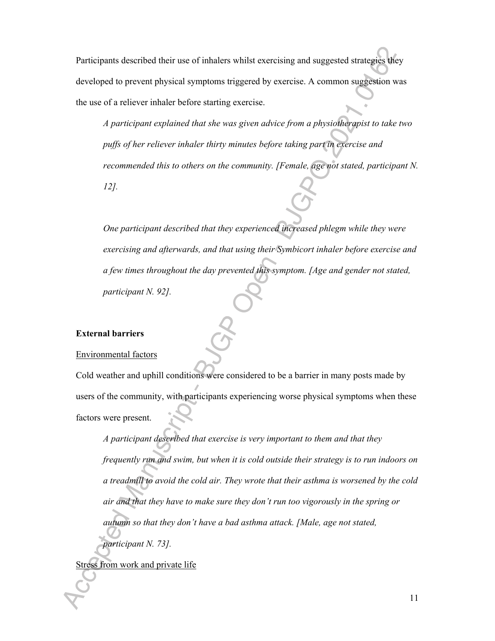Participants described their use of inhalers whilst exercising and suggested strategies they developed to prevent physical symptoms triggered by exercise. A common suggestion was the use of a reliever inhaler before starting exercise.

*A participant explained that she was given advice from a physiotherapist to take two puffs of her reliever inhaler thirty minutes before taking part in exercise and recommended this to others on the community. [Female, age not stated, participant N. 12].*

*One participant described that they experienced increased phlegm while they were exercising and afterwards, and that using their Symbicort inhaler before exercise and a few times throughout the day prevented this symptom. [Age and gender not stated, participant N. 92].*

#### **External barriers**

#### Environmental factors

Cold weather and uphill conditions were considered to be a barrier in many posts made by users of the community, with participants experiencing worse physical symptoms when these factors were present.

*A participant described that exercise is very important to them and that they frequently run and swim, but when it is cold outside their strategy is to run indoors on a treadmill to avoid the cold air. They wrote that their asthma is worsened by the cold air and that they have to make sure they don't run too vigorously in the spring or autumn so that they don't have a bad asthma attack. [Male, age not stated, participant N. 73].*

Stress from work and private life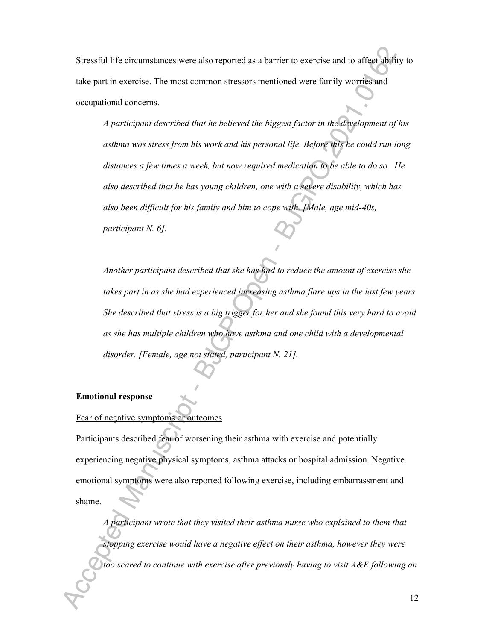Stressful life circumstances were also reported as a barrier to exercise and to affect ability to take part in exercise. The most common stressors mentioned were family worries and occupational concerns.

*A participant described that he believed the biggest factor in the development of his asthma was stress from his work and his personal life. Before this he could run long distances a few times a week, but now required medication to be able to do so. He also described that he has young children, one with a severe disability, which has also been difficult for his family and him to cope with. [Male, age mid-40s, participant N. 6].*

*Another participant described that she has had to reduce the amount of exercise she takes part in as she had experienced increasing asthma flare ups in the last few years. She described that stress is a big trigger for her and she found this very hard to avoid as she has multiple children who have asthma and one child with a developmental disorder. [Female, age not stated, participant N. 21].*

#### **Emotional response**

# Fear of negative symptoms or outcomes

Participants described fear of worsening their asthma with exercise and potentially experiencing negative physical symptoms, asthma attacks or hospital admission. Negative emotional symptoms were also reported following exercise, including embarrassment and shame.

*A participant wrote that they visited their asthma nurse who explained to them that stopping exercise would have a negative effect on their asthma, however they were too scared to continue with exercise after previously having to visit A&E following an*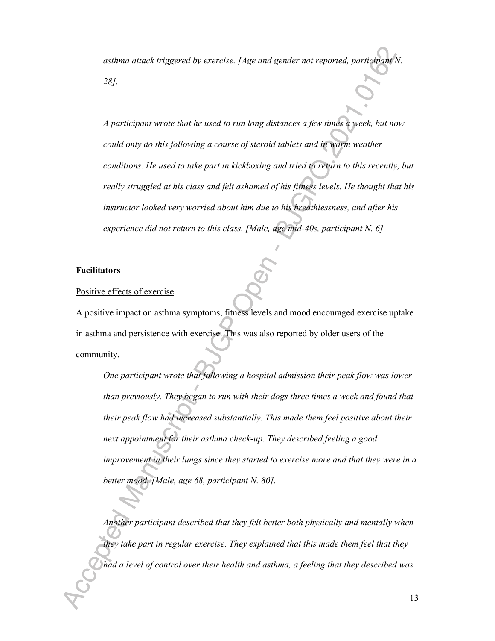*asthma attack triggered by exercise. [Age and gender not reported, participant N. 28].*

*A participant wrote that he used to run long distances a few times a week, but now could only do this following a course of steroid tablets and in warm weather conditions. He used to take part in kickboxing and tried to return to this recently, but really struggled at his class and felt ashamed of his fitness levels. He thought that his instructor looked very worried about him due to his breathlessness, and after his experience did not return to this class. [Male, age mid-40s, participant N. 6]*

#### **Facilitators**

#### Positive effects of exercise

A positive impact on asthma symptoms, fitness levels and mood encouraged exercise uptake in asthma and persistence with exercise. This was also reported by older users of the community.

*One participant wrote that following a hospital admission their peak flow was lower than previously. They began to run with their dogs three times a week and found that their peak flow had increased substantially. This made them feel positive about their next appointment for their asthma check-up. They described feeling a good improvement in their lungs since they started to exercise more and that they were in a better mood. [Male, age 68, participant N. 80].*

*Another participant described that they felt better both physically and mentally when they take part in regular exercise. They explained that this made them feel that they had a level of control over their health and asthma, a feeling that they described was*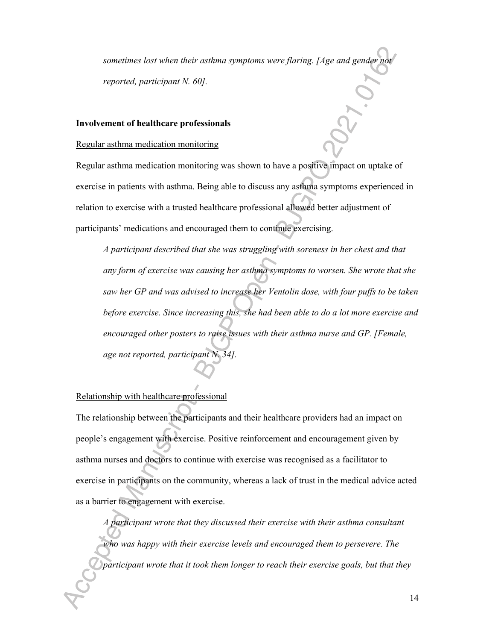*sometimes lost when their asthma symptoms were flaring. [Age and gender not reported, participant N. 60].*

#### **Involvement of healthcare professionals**

#### Regular asthma medication monitoring

Regular asthma medication monitoring was shown to have a positive impact on uptake of exercise in patients with asthma. Being able to discuss any asthma symptoms experienced in relation to exercise with a trusted healthcare professional allowed better adjustment of participants' medications and encouraged them to continue exercising.

*A participant described that she was struggling with soreness in her chest and that any form of exercise was causing her asthma symptoms to worsen. She wrote that she saw her GP and was advised to increase her Ventolin dose, with four puffs to be taken before exercise. Since increasing this, she had been able to do a lot more exercise and encouraged other posters to raise issues with their asthma nurse and GP. [Female, age not reported, participant N. 34].*

#### Relationship with healthcare professional

The relationship between the participants and their healthcare providers had an impact on people's engagement with exercise. Positive reinforcement and encouragement given by asthma nurses and doctors to continue with exercise was recognised as a facilitator to exercise in participants on the community, whereas a lack of trust in the medical advice acted as a barrier to engagement with exercise.

*A participant wrote that they discussed their exercise with their asthma consultant who was happy with their exercise levels and encouraged them to persevere. The participant wrote that it took them longer to reach their exercise goals, but that they*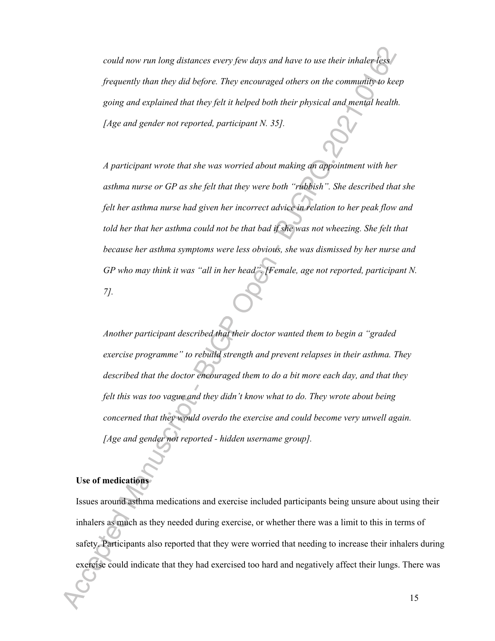*could now run long distances every few days and have to use their inhaler less frequently than they did before. They encouraged others on the community to keep going and explained that they felt it helped both their physical and mental health. [Age and gender not reported, participant N. 35].*

*A participant wrote that she was worried about making an appointment with her asthma nurse or GP as she felt that they were both "rubbish". She described that she felt her asthma nurse had given her incorrect advice in relation to her peak flow and told her that her asthma could not be that bad if she was not wheezing. She felt that because her asthma symptoms were less obvious, she was dismissed by her nurse and GP who may think it was "all in her head". [Female, age not reported, participant N. 7].*

*Another participant described that their doctor wanted them to begin a "graded exercise programme" to rebuild strength and prevent relapses in their asthma. They described that the doctor encouraged them to do a bit more each day, and that they felt this was too vague and they didn't know what to do. They wrote about being concerned that they would overdo the exercise and could become very unwell again. [Age and gender not reported - hidden username group].*

## **Use of medications**

Issues around asthma medications and exercise included participants being unsure about using their inhalers as much as they needed during exercise, or whether there was a limit to this in terms of safety. Participants also reported that they were worried that needing to increase their inhalers during exercise could indicate that they had exercised too hard and negatively affect their lungs. There was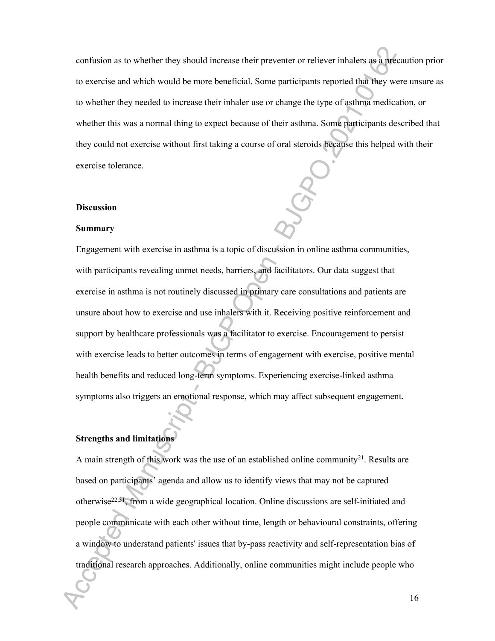confusion as to whether they should increase their preventer or reliever inhalers as a precaution prior to exercise and which would be more beneficial. Some participants reported that they were unsure as to whether they needed to increase their inhaler use or change the type of asthma medication, or whether this was a normal thing to expect because of their asthma. Some participants described that they could not exercise without first taking a course of oral steroids because this helped with their exercise tolerance.

#### **Discussion**

#### **Summary**

Engagement with exercise in asthma is a topic of discussion in online asthma communities, with participants revealing unmet needs, barriers, and facilitators. Our data suggest that exercise in asthma is not routinely discussed in primary care consultations and patients are unsure about how to exercise and use inhalers with it. Receiving positive reinforcement and support by healthcare professionals was a facilitator to exercise. Encouragement to persist with exercise leads to better outcomes in terms of engagement with exercise, positive mental health benefits and reduced long-term symptoms. Experiencing exercise-linked asthma symptoms also triggers an emotional response, which may affect subsequent engagement.

# **Strengths and limitations**

A main strength of this work was the use of an established online community<sup>21</sup>. Results are based on participants' agenda and allow us to identify views that may not be captured otherwise<sup>22,31</sup>, from a wide geographical location. Online discussions are self-initiated and people communicate with each other without time, length or behavioural constraints, offering a window to understand patients' issues that by-pass reactivity and self-representation bias of traditional research approaches. Additionally, online communities might include people who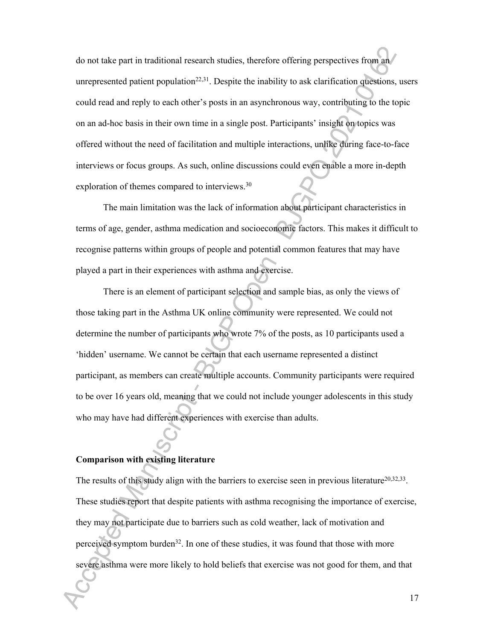do not take part in traditional research studies, therefore offering perspectives from an unrepresented patient population<sup>22,31</sup>. Despite the inability to ask clarification questions, users could read and reply to each other's posts in an asynchronous way, contributing to the topic on an ad-hoc basis in their own time in a single post. Participants' insight on topics was offered without the need of facilitation and multiple interactions, unlike during face-to-face interviews or focus groups. As such, online discussions could even enable a more in-depth exploration of themes compared to interviews.<sup>30</sup>

The main limitation was the lack of information about participant characteristics in terms of age, gender, asthma medication and socioeconomic factors. This makes it difficult to recognise patterns within groups of people and potential common features that may have played a part in their experiences with asthma and exercise.

There is an element of participant selection and sample bias, as only the views of those taking part in the Asthma UK online community were represented. We could not determine the number of participants who wrote 7% of the posts, as 10 participants used a 'hidden' username. We cannot be certain that each username represented a distinct participant, as members can create multiple accounts. Community participants were required to be over 16 years old, meaning that we could not include younger adolescents in this study who may have had different experiences with exercise than adults.

#### **Comparison with existing literature**

The results of this study align with the barriers to exercise seen in previous literature<sup>20,32,33</sup>. These studies report that despite patients with asthma recognising the importance of exercise, they may not participate due to barriers such as cold weather, lack of motivation and perceived symptom burden<sup>32</sup>. In one of these studies, it was found that those with more severe asthma were more likely to hold beliefs that exercise was not good for them, and that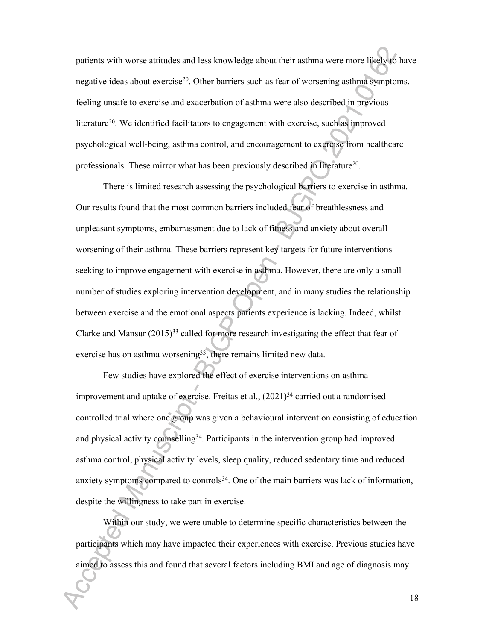patients with worse attitudes and less knowledge about their asthma were more likely to have negative ideas about exercise<sup>20</sup>. Other barriers such as fear of worsening asthma symptoms, feeling unsafe to exercise and exacerbation of asthma were also described in previous literature<sup>20</sup>. We identified facilitators to engagement with exercise, such as improved psychological well-being, asthma control, and encouragement to exercise from healthcare professionals. These mirror what has been previously described in literature<sup>20</sup>.

There is limited research assessing the psychological barriers to exercise in asthma. Our results found that the most common barriers included fear of breathlessness and unpleasant symptoms, embarrassment due to lack of fitness and anxiety about overall worsening of their asthma. These barriers represent key targets for future interventions seeking to improve engagement with exercise in asthma. However, there are only a small number of studies exploring intervention development, and in many studies the relationship between exercise and the emotional aspects patients experience is lacking. Indeed, whilst Clarke and Mansur  $(2015)^{33}$  called for more research investigating the effect that fear of exercise has on asthma worsening<sup>33</sup>, there remains limited new data.

Few studies have explored the effect of exercise interventions on asthma improvement and uptake of exercise. Freitas et al.,  $(2021)^{34}$  carried out a randomised controlled trial where one group was given a behavioural intervention consisting of education and physical activity counselling<sup>34</sup>. Participants in the intervention group had improved asthma control, physical activity levels, sleep quality, reduced sedentary time and reduced anxiety symptoms compared to controls<sup>34</sup>. One of the main barriers was lack of information, despite the willingness to take part in exercise.

Within our study, we were unable to determine specific characteristics between the participants which may have impacted their experiences with exercise. Previous studies have aimed to assess this and found that several factors including BMI and age of diagnosis may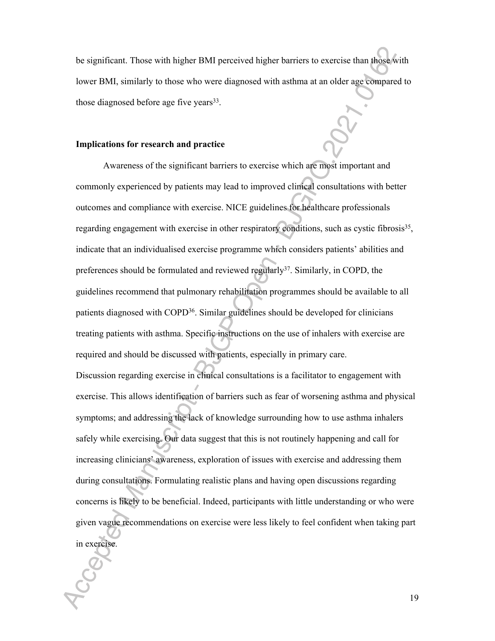be significant. Those with higher BMI perceived higher barriers to exercise than those with lower BMI, similarly to those who were diagnosed with asthma at an older age compared to those diagnosed before age five years<sup>33</sup>.

#### **Implications for research and practice**

Awareness of the significant barriers to exercise which are most important and commonly experienced by patients may lead to improved clinical consultations with better outcomes and compliance with exercise. NICE guidelines for healthcare professionals regarding engagement with exercise in other respiratory conditions, such as cystic fibrosis<sup>35</sup>, indicate that an individualised exercise programme which considers patients' abilities and preferences should be formulated and reviewed regularly<sup>37</sup>. Similarly, in COPD, the guidelines recommend that pulmonary rehabilitation programmes should be available to all patients diagnosed with COPD<sup>36</sup>. Similar guidelines should be developed for clinicians treating patients with asthma. Specific instructions on the use of inhalers with exercise are required and should be discussed with patients, especially in primary care. Discussion regarding exercise in clinical consultations is a facilitator to engagement with exercise. This allows identification of barriers such as fear of worsening asthma and physical symptoms; and addressing the lack of knowledge surrounding how to use asthma inhalers safely while exercising. Our data suggest that this is not routinely happening and call for increasing clinicians' awareness, exploration of issues with exercise and addressing them during consultations. Formulating realistic plans and having open discussions regarding concerns is likely to be beneficial. Indeed, participants with little understanding or who were given vague recommendations on exercise were less likely to feel confident when taking part in exercise.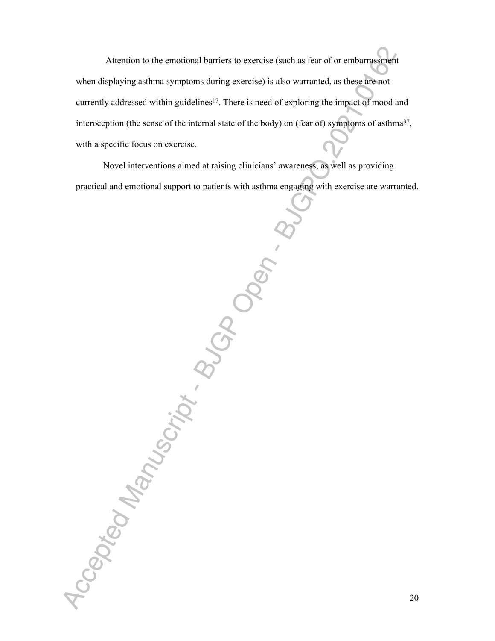Attention to the emotional barriers to exercise (such as fear of or embarrassment when displaying asthma symptoms during exercise) is also warranted, as these are not currently addressed within guidelines<sup>17</sup>. There is need of exploring the impact of mood and interoception (the sense of the internal state of the body) on (fear of) symptoms of asthma $37$ , with a specific focus on exercise.

Novel interventions aimed at raising clinicians' awareness, as well as providing practical and emotional support to patients with asthma engaging with exercise are warranted.

Accepted Manuscript . BUGDO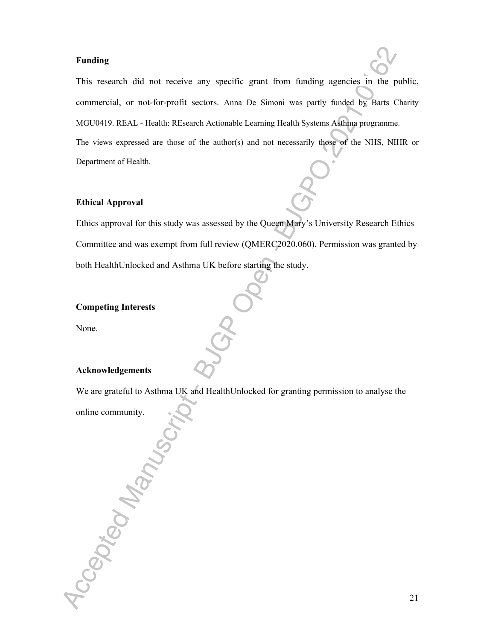#### **Funding**

This research did not receive any specific grant from funding agencies in the public, commercial, or not-for-profit sectors. Anna De Simoni was partly funded by Barts Charity MGU0419. REAL - Health: REsearch Actionable Learning Health Systems Asthma programme. The views expressed are those of the author(s) and not necessarily those of the NHS, NIHR or Department of Health.

#### **Ethical Approval**

Ethics approval for this study was assessed by the Queen Mary's University Research Ethics Committee and was exempt from full review (QMERC2020.060). Permission was granted by both HealthUnlocked and Asthma UK before starting the study.

#### **Competing Interests**

None.

#### **Acknowledgements**

We are grateful to Asthma UK and HealthUnlocked for granting permission to analyse the

locapted Manuscin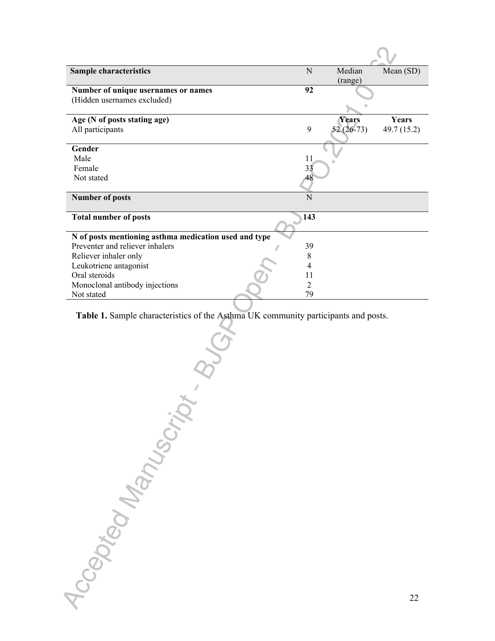| <b>Sample characteristics</b>                         | N   | Median       | Mean (SD)   |
|-------------------------------------------------------|-----|--------------|-------------|
|                                                       |     | (range)      |             |
| Number of unique usernames or names                   | 92  |              |             |
| (Hidden usernames excluded)                           |     |              |             |
|                                                       |     |              |             |
| Age (N of posts stating age)                          |     | <b>Years</b> | Years       |
| All participants                                      | 9   | $52(26-73)$  | 49.7 (15.2) |
|                                                       |     |              |             |
| Gender                                                |     |              |             |
| Male                                                  | 11  |              |             |
| Female                                                | 33  |              |             |
| Not stated                                            | 48  |              |             |
|                                                       |     |              |             |
| <b>Number of posts</b>                                | N   |              |             |
| <b>Total number of posts</b>                          | 143 |              |             |
|                                                       |     |              |             |
| N of posts mentioning asthma medication used and type |     |              |             |
| Preventer and reliever inhalers                       | 39  |              |             |
| Reliever inhaler only                                 | 8   |              |             |
| Leukotriene antagonist                                | 4   |              |             |
| Oral steroids                                         | 11  |              |             |
| Monoclonal antibody injections                        | 2   |              |             |
| Not stated                                            | 79  |              |             |

**Table 1.** Sample characteristics of the Asthma UK community participants and posts.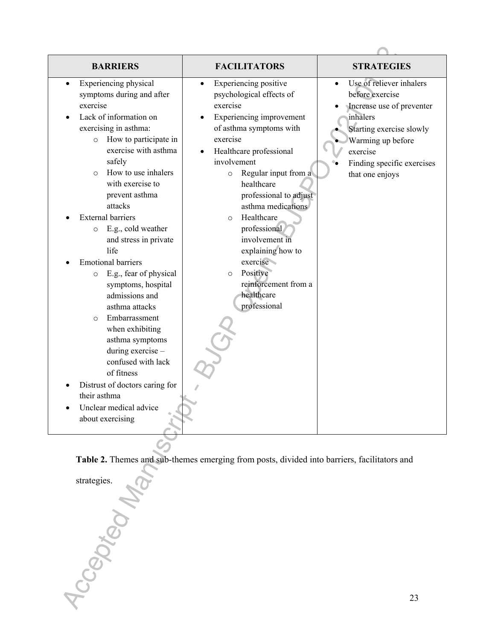**Table 2.** Themes and sub-themes emerging from posts, divided into barriers, facilitators and Table ...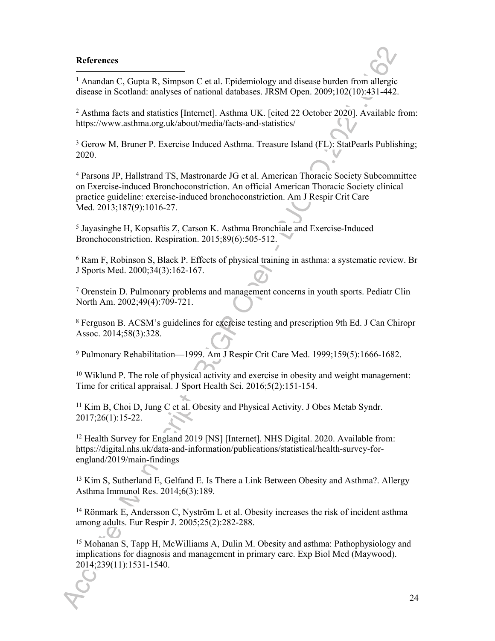#### **References**

<sup>1</sup> Anandan C, Gupta R, Simpson C et al. Epidemiology and disease burden from allergic disease in Scotland: analyses of national databases. JRSM Open. 2009;102(10):431-442.

2 Asthma facts and statistics [Internet]. Asthma UK. [cited 22 October 2020]. Available from: https://www.asthma.org.uk/about/media/facts-and-statistics/

<sup>3</sup> Gerow M, Bruner P. Exercise Induced Asthma. Treasure Island (FL): StatPearls Publishing; 2020.

4 Parsons JP, Hallstrand TS, Mastronarde JG et al. American Thoracic Society Subcommittee on Exercise-induced Bronchoconstriction. An official American Thoracic Society clinical practice guideline: exercise-induced bronchoconstriction. Am J Respir Crit Care Med. 2013;187(9):1016-27.

5 Jayasinghe H, Kopsaftis Z, Carson K. Asthma Bronchiale and Exercise-Induced Bronchoconstriction. Respiration. 2015;89(6):505-512.

6 Ram F, Robinson S, Black P. Effects of physical training in asthma: a systematic review. Br J Sports Med. 2000;34(3):162-167.

7 Orenstein D. Pulmonary problems and management concerns in youth sports. Pediatr Clin North Am. 2002;49(4):709-721.

8 Ferguson B. ACSM's guidelines for exercise testing and prescription 9th Ed. J Can Chiropr Assoc. 2014;58(3):328.

9 Pulmonary Rehabilitation—1999. Am J Respir Crit Care Med. 1999;159(5):1666-1682.

<sup>10</sup> Wiklund P. The role of physical activity and exercise in obesity and weight management: Time for critical appraisal. J Sport Health Sci. 2016;5(2):151-154.

<sup>11</sup> Kim B, Choi D, Jung C et al. Obesity and Physical Activity. J Obes Metab Syndr. 2017;26(1):15-22.

<sup>12</sup> Health Survey for England 2019 [NS] [Internet]. NHS Digital. 2020. Available from: https://digital.nhs.uk/data-and-information/publications/statistical/health-survey-forengland/2019/main-findings

<sup>13</sup> Kim S, Sutherland E, Gelfand E. Is There a Link Between Obesity and Asthma?. Allergy Asthma Immunol Res. 2014;6(3):189.

<sup>14</sup> Rönmark E, Andersson C, Nyström L et al. Obesity increases the risk of incident asthma among adults. Eur Respir J. 2005;25(2):282-288.

<sup>15</sup> Mohanan S, Tapp H, McWilliams A, Dulin M. Obesity and asthma: Pathophysiology and implications for diagnosis and management in primary care. Exp Biol Med (Maywood). 2014;239(11):1531-1540.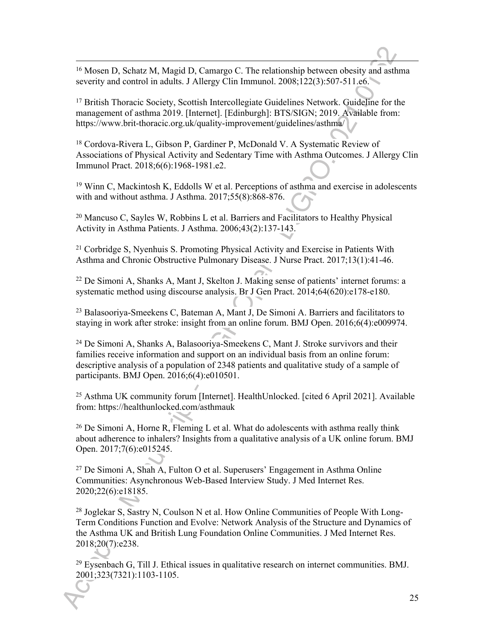<sup>16</sup> Mosen D, Schatz M, Magid D, Camargo C. The relationship between obesity and asthma severity and control in adults. J Allergy Clin Immunol. 2008;122(3):507-511.e6.

<sup>17</sup> British Thoracic Society, Scottish Intercollegiate Guidelines Network. Guideline for the management of asthma 2019. [Internet]. [Edinburgh]: BTS/SIGN; 2019. Available from: https://www.brit-thoracic.org.uk/quality-improvement/guidelines/asthma/

<sup>18</sup> Cordova-Rivera L, Gibson P, Gardiner P, McDonald V. A Systematic Review of Associations of Physical Activity and Sedentary Time with Asthma Outcomes. J Allergy Clin Immunol Pract. 2018;6(6):1968-1981.e2.

<sup>19</sup> Winn C, Mackintosh K, Eddolls W et al. Perceptions of asthma and exercise in adolescents with and without asthma. J Asthma. 2017;55(8):868-876.

<sup>20</sup> Mancuso C, Sayles W, Robbins L et al. Barriers and Facilitators to Healthy Physical Activity in Asthma Patients. J Asthma. 2006;43(2):137-143.

<sup>21</sup> Corbridge S, Nyenhuis S. Promoting Physical Activity and Exercise in Patients With Asthma and Chronic Obstructive Pulmonary Disease. J Nurse Pract. 2017;13(1):41-46.

<sup>22</sup> De Simoni A, Shanks A, Mant J, Skelton J. Making sense of patients' internet forums: a systematic method using discourse analysis. Br J Gen Pract. 2014;64(620):e178-e180.

<sup>23</sup> Balasooriya-Smeekens C, Bateman A, Mant J, De Simoni A. Barriers and facilitators to staying in work after stroke: insight from an online forum. BMJ Open. 2016;6(4):e009974.

<sup>24</sup> De Simoni A, Shanks A, Balasooriya-Smeekens C, Mant J. Stroke survivors and their families receive information and support on an individual basis from an online forum: descriptive analysis of a population of 2348 patients and qualitative study of a sample of participants. BMJ Open. 2016;6(4):e010501.

<sup>25</sup> Asthma UK community forum [Internet]. HealthUnlocked. [cited 6 April 2021]. Available from: https://healthunlocked.com/asthmauk

<sup>26</sup> De Simoni A, Horne R, Fleming L et al. What do adolescents with asthma really think about adherence to inhalers? Insights from a qualitative analysis of a UK online forum. BMJ Open. 2017;7(6):e015245.

 $27$  De Simoni A, Shah A, Fulton O et al. Superusers' Engagement in Asthma Online Communities: Asynchronous Web-Based Interview Study. J Med Internet Res. 2020;22(6):e18185.

28 Joglekar S, Sastry N, Coulson N et al. How Online Communities of People With Long-Term Conditions Function and Evolve: Network Analysis of the Structure and Dynamics of the Asthma UK and British Lung Foundation Online Communities. J Med Internet Res. 2018;20(7):e238.

<sup>29</sup> Eysenbach G, Till J. Ethical issues in qualitative research on internet communities. BMJ. 2001;323(7321):1103-1105.